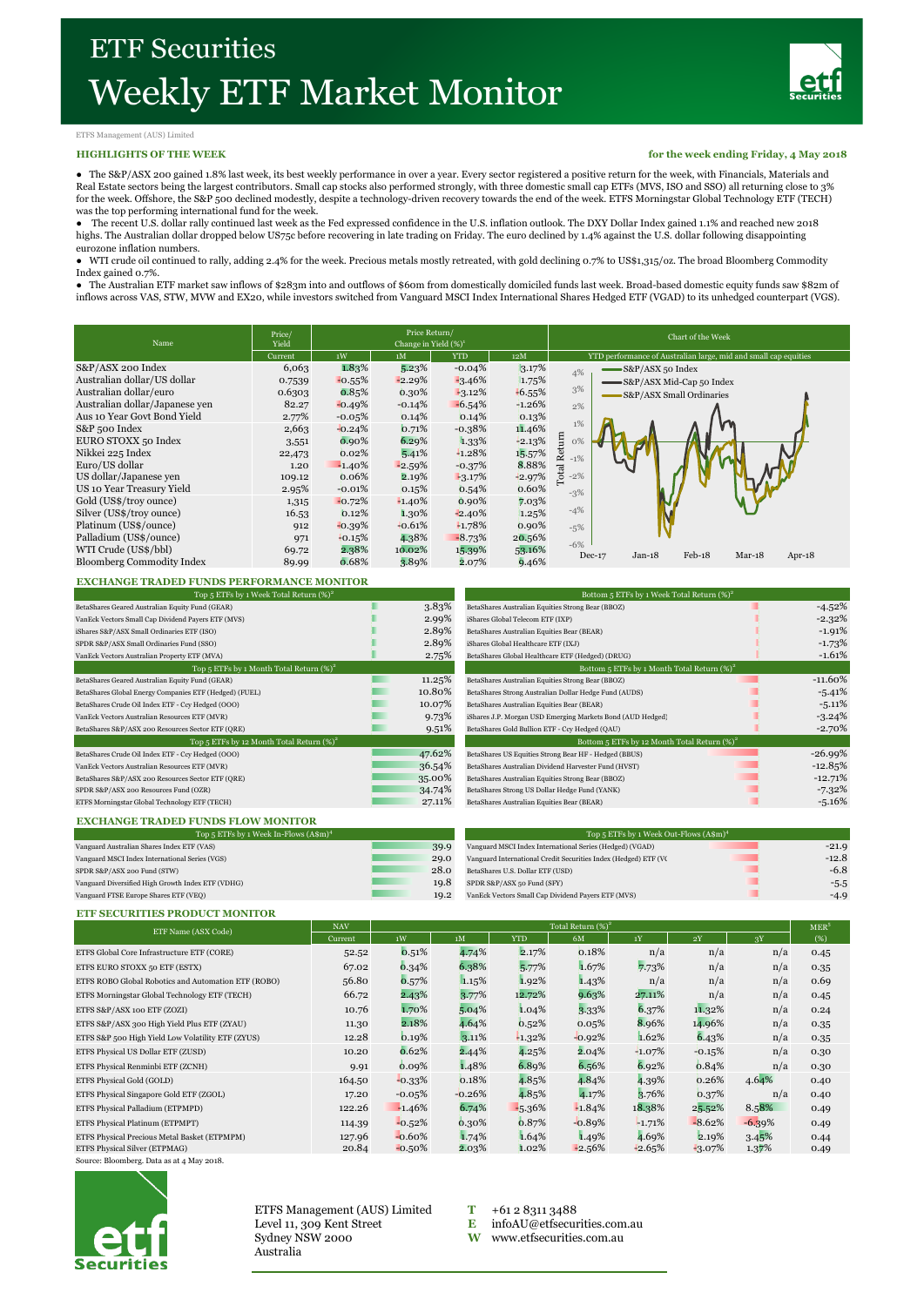

### ETFS Management (AUS) Limited

#### **HIGHLIGHTS OF THE WEEK**

**for the week ending Friday, 4 May 2018**

● The S&P/ASX 200 gained 1.8% last week, its best weekly performance in over a year. Every sector registered a positive return for the week, with Financials, Materials and Real Estate sectors being the largest contributors. Small cap stocks also performed strongly, with three domestic small cap ETFs (MVS, ISO and SSO) all returning close to 3% for the week. Offshore, the S&P 500 declined modestly, despite a technology-driven recovery towards the end of the week. ETFS Morningstar Global Technology ETF (TECH)

was the top performing international fund for the week.<br>● The recent U.S. dollar rally continued last week as the Fed expressed confidence in the U.S. inflation outlook. The DXY Dollar Index gained 1.1% and reached new highs. The Australian dollar dropped below US75c before recovering in late trading on Friday. The euro declined by 1.4% against the U.S. dollar following disappointing eurozone inflation numbers.

● WTI crude oil continued to rally, adding 2.4% for the week. Precious metals mostly retreated, with gold declining 0.7% to US\$1,315/oz. The broad Bloomberg Commodity Index gained 0.7%.

● The Australian ETF market saw inflows of \$283m into and outflows of \$60m from domestically domiciled funds last week. Broad-based domestic equity funds saw \$82m of inflows across VAS, STW, MVW and EX20, while investors switched from Vanguard MSCI Index International Shares Hedged ETF (VGAD) to its unhedged counterpart (VGS).

| Name                             | Price/<br>Yield | Price Return/<br>Change in Yield $(\%)^1$ |          |            |          | Chart of the Week                                               |  |  |  |  |
|----------------------------------|-----------------|-------------------------------------------|----------|------------|----------|-----------------------------------------------------------------|--|--|--|--|
|                                  | Current         | 1W                                        | 1M       | <b>YTD</b> | 12M      | YTD performance of Australian large, mid and small cap equities |  |  |  |  |
| S&P/ASX 200 Index                | 6,063           | 1.83%                                     | 5.23%    | $-0.04%$   | 3.17%    | S&P/ASX 50 Index<br>4%                                          |  |  |  |  |
| Australian dollar/US dollar      | 0.7539          | $-0.55%$                                  | $-2.29%$ | $-3.46%$   | 1.75%    | S&P/ASX Mid-Cap 50 Index                                        |  |  |  |  |
| Australian dollar/euro           | 0.6303          | 0.85%                                     | 0.30%    | $-3.12\%$  | $-6.55%$ | 3%<br>S&P/ASX Small Ordinaries                                  |  |  |  |  |
| Australian dollar/Japanese ven   | 82.27           | $-0.49%$                                  | $-0.14%$ | $-6.54%$   | $-1.26%$ | 2%                                                              |  |  |  |  |
| Aus 10 Year Govt Bond Yield      | 2.77%           | $-0.05%$                                  | 0.14%    | 0.14%      | 0.13%    |                                                                 |  |  |  |  |
| S&P 500 Index                    | 2,663           | $-0.24%$                                  | 0.71%    | $-0.38%$   | 11.46%   | 1%                                                              |  |  |  |  |
| EURO STOXX 50 Index              | 3,551           | $0.90\%$                                  | 6.29%    | 1.33%      | $+2.13%$ | Total Return<br>$0\%$                                           |  |  |  |  |
| Nikkei 225 Index                 | 22,473          | 0.02%                                     | 5.41%    | 1.28%      | 15.57%   | $-1\%$                                                          |  |  |  |  |
| Euro/US dollar                   | 1.20            | $-1.40%$                                  | $-2.59%$ | $-0.37%$   | 8.88%    |                                                                 |  |  |  |  |
| US dollar/Japanese ven           | 109.12          | 0.06%                                     | 2.19%    | $-3.17%$   | 42.97%   | $-2%$                                                           |  |  |  |  |
| US 10 Year Treasury Yield        | 2.95%           | $-0.01%$                                  | 0.15%    | 0.54%      | 0.60%    | $-3%$                                                           |  |  |  |  |
| Gold (US\$/troy ounce)           | 1,315           | $-0.72%$                                  | $-1.40%$ | $0.90\%$   | 7.03%    |                                                                 |  |  |  |  |
| Silver (US\$/troy ounce)         | 16.53           | 0.12%                                     | 1.30%    | $-2.40%$   | 1.25%    | $-4%$                                                           |  |  |  |  |
| Platinum (US\$/ounce)            | 912             | $-0.39%$                                  | $-0.61%$ | $-1.78%$   | 0.90%    | $-5\%$                                                          |  |  |  |  |
| Palladium (US\$/ounce)           | 971             | $+0.15%$                                  | 4.38%    | $-8.73%$   | 20.56%   |                                                                 |  |  |  |  |
| WTI Crude (US\$/bbl)             | 69.72           | 2.38%                                     | 10.02%   | 15.39%     | 53.16%   | $-6%$                                                           |  |  |  |  |
| <b>Bloomberg Commodity Index</b> | 89.99           | 0.68%                                     | 3.89%    | 2.07%      | 9.46%    | $Feb-18$<br>$Jan-18$<br>$Mar-18$<br>$Dec-17$<br>Apr- $18$       |  |  |  |  |

## **EXCHANGE TRADED FUNDS PERFORMANCE MONITOR**

| Top 5 ETFs by 1 Week Total Return $(\%)^2$             |  |        | Bottom 5 ETFs by 1 Week Total Return $(\%)^2$              |           |  |  |
|--------------------------------------------------------|--|--------|------------------------------------------------------------|-----------|--|--|
| BetaShares Geared Australian Equity Fund (GEAR)        |  | 3.83%  | BetaShares Australian Equities Strong Bear (BBOZ)          | $-4.52%$  |  |  |
| VanEck Vectors Small Cap Dividend Payers ETF (MVS)     |  | 2.99%  | iShares Global Telecom ETF (IXP)                           | $-2.32%$  |  |  |
| iShares S&P/ASX Small Ordinaries ETF (ISO)             |  | 2.89%  | BetaShares Australian Equities Bear (BEAR)                 | $-1.91%$  |  |  |
| SPDR S&P/ASX Small Ordinaries Fund (SSO)               |  | 2.89%  | iShares Global Healthcare ETF (IXJ)                        | $-1.73%$  |  |  |
| VanEck Vectors Australian Property ETF (MVA)           |  | 2.75%  | BetaShares Global Healthcare ETF (Hedged) (DRUG)           | $-1.61%$  |  |  |
| Top 5 ETFs by 1 Month Total Return $(\%)^2$            |  |        | Bottom 5 ETFs by 1 Month Total Return $(\%)^2$             |           |  |  |
| BetaShares Geared Australian Equity Fund (GEAR)        |  | 11.25% | BetaShares Australian Equities Strong Bear (BBOZ)          | $-11.60%$ |  |  |
| BetaShares Global Energy Companies ETF (Hedged) (FUEL) |  | 10.80% | BetaShares Strong Australian Dollar Hedge Fund (AUDS)      | $-5.41%$  |  |  |
| BetaShares Crude Oil Index ETF - Ccy Hedged (OOO)      |  | 10.07% | BetaShares Australian Equities Bear (BEAR)                 | $-5.11%$  |  |  |
| VanEck Vectors Australian Resources ETF (MVR)          |  | 9.73%  | iShares J.P. Morgan USD Emerging Markets Bond (AUD Hedged) | $-3.24%$  |  |  |
| BetaShares S&P/ASX 200 Resources Sector ETF (QRE)      |  | 9.51%  | BetaShares Gold Bullion ETF - Ccy Hedged (QAU)             | $-2.70%$  |  |  |
| Top 5 ETFs by 12 Month Total Return $(\%)^2$           |  |        | Bottom 5 ETFs by 12 Month Total Return $(\%)^2$            |           |  |  |
| BetaShares Crude Oil Index ETF - Ccy Hedged (OOO)      |  | 47.62% | BetaShares US Equities Strong Bear HF - Hedged (BBUS)      | $-26.99%$ |  |  |
| VanEck Vectors Australian Resources ETF (MVR)          |  | 36.54% | BetaShares Australian Dividend Harvester Fund (HVST)       | $-12.85%$ |  |  |
| BetaShares S&P/ASX 200 Resources Sector ETF (QRE)      |  | 35.00% | BetaShares Australian Equities Strong Bear (BBOZ)          | $-12.71%$ |  |  |
| SPDR S&P/ASX 200 Resources Fund (OZR)                  |  | 34.74% | BetaShares Strong US Dollar Hedge Fund (YANK)              | $-7.32%$  |  |  |
| ETFS Morningstar Global Technology ETF (TECH)          |  | 27.11% | BetaShares Australian Equities Bear (BEAR)                 | $-5.16%$  |  |  |
|                                                        |  |        |                                                            |           |  |  |

| Bottom 5 ETFs by 1 Week Total Return $(\%)^2$              |           |  |  |  |  |  |
|------------------------------------------------------------|-----------|--|--|--|--|--|
| BetaShares Australian Equities Strong Bear (BBOZ)          | $-4.52%$  |  |  |  |  |  |
| iShares Global Telecom ETF (IXP)                           | $-2.32%$  |  |  |  |  |  |
| BetaShares Australian Equities Bear (BEAR)                 | $-1.91%$  |  |  |  |  |  |
| iShares Global Healthcare ETF (IXJ)                        | $-1.73%$  |  |  |  |  |  |
| BetaShares Global Healthcare ETF (Hedged) (DRUG)           | $-1.61%$  |  |  |  |  |  |
| Bottom 5 ETFs by 1 Month Total Return $(\%)^2$             |           |  |  |  |  |  |
| BetaShares Australian Equities Strong Bear (BBOZ)          | $-11.60%$ |  |  |  |  |  |
| BetaShares Strong Australian Dollar Hedge Fund (AUDS)      | $-5.41%$  |  |  |  |  |  |
| BetaShares Australian Equities Bear (BEAR)                 | $-5.11%$  |  |  |  |  |  |
| iShares J.P. Morgan USD Emerging Markets Bond (AUD Hedged) | $-3.24%$  |  |  |  |  |  |
| BetaShares Gold Bullion ETF - Ccy Hedged (QAU)             | $-2.70%$  |  |  |  |  |  |
| Bottom 5 ETFs by 12 Month Total Return $(\%)^2$            |           |  |  |  |  |  |
| BetaShares US Equities Strong Bear HF - Hedged (BBUS)      | $-26.99%$ |  |  |  |  |  |
| BetaShares Australian Dividend Harvester Fund (HVST)       | $-12.85%$ |  |  |  |  |  |
| BetaShares Australian Equities Strong Bear (BBOZ)          | $-12.71%$ |  |  |  |  |  |
| BetaShares Strong US Dollar Hedge Fund (YANK)              | $-7.32%$  |  |  |  |  |  |
| BetaShares Australian Equities Bear (BEAR)                 | $-5.16%$  |  |  |  |  |  |
|                                                            |           |  |  |  |  |  |

# **EXCHANGE TRADED FUNDS FLOW MONITOR**

| Top 5 ETFs by 1 Week In-Flows $(A\$ m{s}^4)       |      | Top 5 ETFs by 1 Week Out-Flows (A\$m) <sup>4</sup>              |         |  |  |  |
|---------------------------------------------------|------|-----------------------------------------------------------------|---------|--|--|--|
| Vanguard Australian Shares Index ETF (VAS)        | 39.9 | Vanguard MSCI Index International Series (Hedged) (VGAD)        | $-21.9$ |  |  |  |
| Vanguard MSCI Index International Series (VGS)    | 29.0 | Vanguard International Credit Securities Index (Hedged) ETF (VC | $-12.8$ |  |  |  |
| SPDR S&P/ASX 200 Fund (STW)                       | 28.0 | BetaShares U.S. Dollar ETF (USD)                                | $-6.8$  |  |  |  |
| Vanguard Diversified High Growth Index ETF (VDHG) | 19.8 | SPDR S&P/ASX 50 Fund (SFY)                                      | $-5.5$  |  |  |  |
| Vanguard FTSE Europe Shares ETF (VEQ)             | 19.2 | VanEck Vectors Small Cap Dividend Payers ETF (MVS)              | $-4.9$  |  |  |  |

### **ETF SECURITIES PRODUCT MONITOR**

| ETF Name (ASX Code)                                 | <b>NAV</b> | Total Return $(\%)^2$ |          |            |          |          |           |          |      |
|-----------------------------------------------------|------------|-----------------------|----------|------------|----------|----------|-----------|----------|------|
|                                                     | Current    | 1W                    | 1M       | <b>YTD</b> | 6M       | 1Y       | 2Y        | 3X       | (%)  |
| ETFS Global Core Infrastructure ETF (CORE)          | 52.52      | 0.51%                 | 4.74%    | 2.17%      | 0.18%    | n/a      | n/a       | n/a      | 0.45 |
| ETFS EURO STOXX 50 ETF (ESTX)                       | 67.02      | 0.34%                 | 6.38%    | 5.77%      | 1.67%    | 7.73%    | n/a       | n/a      | 0.35 |
| ETFS ROBO Global Robotics and Automation ETF (ROBO) | 56.80      | 0.57%                 | 1.15%    | 1.92%      | 1.43%    | n/a      | n/a       | n/a      | 0.69 |
| ETFS Morningstar Global Technology ETF (TECH)       | 66.72      | 2.43%                 | 3.77%    | 12.72%     | 9.63%    | 27.11%   | n/a       | n/a      | 0.45 |
| ETFS S&P/ASX 100 ETF (ZOZI)                         | 10.76      | 1.70%                 | 5.04%    | 1.04%      | 3.33%    | 6.37%    | 11.32%    | n/a      | 0.24 |
| ETFS S&P/ASX 300 High Yield Plus ETF (ZYAU)         | 11.30      | 2.18%                 | 4.64%    | 0.52%      | 0.05%    | 8.96%    | 14.96%    | n/a      | 0.35 |
| ETFS S&P 500 High Yield Low Volatility ETF (ZYUS)   | 12.28      | 0.19%                 | 3.11%    | $-1.32\%$  | $-0.92%$ | 1.62%    | 6.43%     | n/a      | 0.35 |
| ETFS Physical US Dollar ETF (ZUSD)                  | 10.20      | 0.62%                 | 2.44%    | 4.25%      | 2.04%    | $+1.07%$ | $+0.15%$  | n/a      | 0.30 |
| ETFS Physical Renminbi ETF (ZCNH)                   | 9.91       | 0.09%                 | 1.48%    | 6.89%      | 6.56%    | 6.92%    | 0.84%     | n/a      | 0.30 |
| ETFS Physical Gold (GOLD)                           | 164.50     | $-0.33%$              | 0.18%    | 4.85%      | 4.84%    | 4.39%    | 0.26%     | 4.64%    | 0.40 |
| ETFS Physical Singapore Gold ETF (ZGOL)             | 17.20      | $-0.05%$              | $-0.26%$ | 4.85%      | 4.17%    | 3.76%    | 0.37%     | n/a      | 0.40 |
| ETFS Physical Palladium (ETPMPD)                    | 122.26     | $-1.46%$              | 6.74%    | $-5.36%$   | $-1.84%$ | 18.38%   | $25.52\%$ | 8.58%    | 0.49 |
| ETFS Physical Platinum (ETPMPT)                     | 114.39     | $-0.52%$              | 0.30%    | 0.87%      | $-0.89%$ | $-1.71%$ | $-8.62%$  | $-6.39%$ | 0.49 |
| ETFS Physical Precious Metal Basket (ETPMPM)        | 127.96     | $-0.60%$              | 1.74%    | 1.64%      | 1.49%    | 4.69%    | 2.19%     | 3.45%    | 0.44 |
| ETFS Physical Silver (ETPMAG)                       | 20.84      | $-0.50\%$             | 2.03%    | 1.02%      | $-2.56%$ | $+2.65%$ | $-3.07%$  | 1.37%    | 0.49 |

Source: Bloomberg. Data as at 4 May 2018.



ETFS Management (AUS) Limited **T** +61 2 8311 3488 Level 11, 309 Kent Street **E** [infoAU@etfsecurities.com.au](mailto:infoAU@etfsecurities.com.au) Sydney NSW 2000 **W** [www.etfsecurities.com.au](http://www.etfsecurities.com.au/) Australia